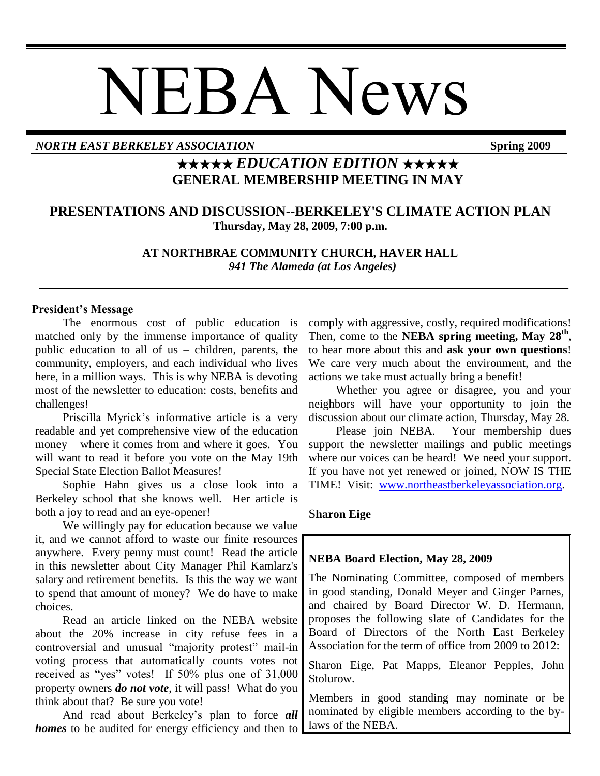# NEBA News

#### *NORTH EAST BERKELEY ASSOCIATION* **Spring 2009**

## ★★★★★ *EDUCATION EDITION* ★★★★★ **GENERAL MEMBERSHIP MEETING IN MAY**

### **PRESENTATIONS AND DISCUSSION--BERKELEY'S CLIMATE ACTION PLAN Thursday, May 28, 2009, 7:00 p.m.**

**AT NORTHBRAE COMMUNITY CHURCH, HAVER HALL**  *941 The Alameda (at Los Angeles)*

#### **President's Message**

The enormous cost of public education is matched only by the immense importance of quality public education to all of us – children, parents, the community, employers, and each individual who lives here, in a million ways. This is why NEBA is devoting most of the newsletter to education: costs, benefits and challenges!

Priscilla Myrick's informative article is a very readable and yet comprehensive view of the education money – where it comes from and where it goes. You will want to read it before you vote on the May 19th Special State Election Ballot Measures!

Sophie Hahn gives us a close look into a Berkeley school that she knows well. Her article is both a joy to read and an eye-opener!

We willingly pay for education because we value it, and we cannot afford to waste our finite resources anywhere. Every penny must count! Read the article in this newsletter about City Manager Phil Kamlarz's salary and retirement benefits. Is this the way we want to spend that amount of money? We do have to make choices.

Read an article linked on the NEBA website about the 20% increase in city refuse fees in a controversial and unusual "majority protest" mail-in voting process that automatically counts votes not received as "yes" votes! If  $50\%$  plus one of  $31,000$ property owners *do not vote*, it will pass! What do you think about that? Be sure you vote!

And read about Berkeley's plan to force *all homes* to be audited for energy efficiency and then to comply with aggressive, costly, required modifications! Then, come to the **NEBA spring meeting, May 28th** , to hear more about this and **ask your own questions**! We care very much about the environment, and the actions we take must actually bring a benefit!

Whether you agree or disagree, you and your neighbors will have your opportunity to join the discussion about our climate action, Thursday, May 28.

Please join NEBA. Your membership dues support the newsletter mailings and public meetings where our voices can be heard! We need your support. If you have not yet renewed or joined, NOW IS THE TIME! Visit: [www.northeastberkeleyassociation.org.](../../../AppData/Local/Microsoft/Windows/Temporary%20Internet%20Files/Content.Outlook/MB5D2GB8/www.northeastberkeleyassociation.org)

#### S**haron Eige**

#### **NEBA Board Election, May 28, 2009**

The Nominating Committee, composed of members in good standing, Donald Meyer and Ginger Parnes, and chaired by Board Director W. D. Hermann, proposes the following slate of Candidates for the Board of Directors of the North East Berkeley Association for the term of office from 2009 to 2012:

Sharon Eige, Pat Mapps, Eleanor Pepples, John Stolurow.

Members in good standing may nominate or be nominated by eligible members according to the bylaws of the NEBA.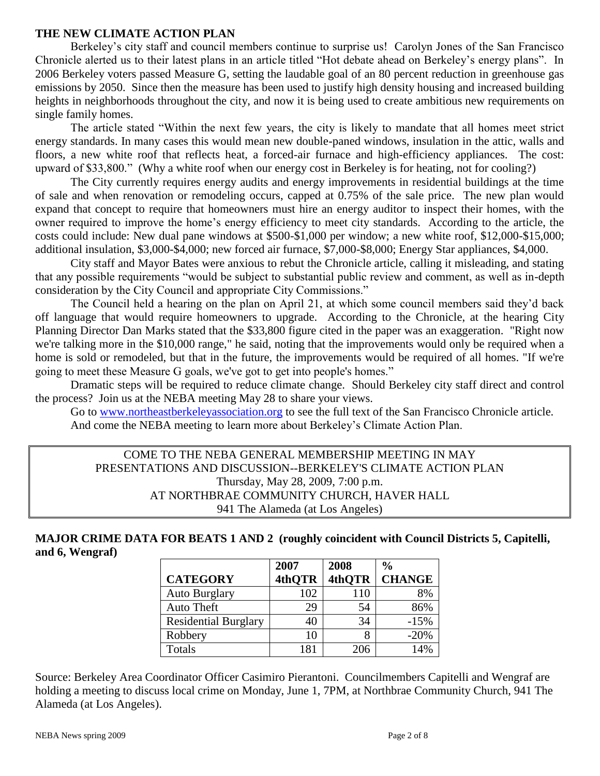#### **THE NEW CLIMATE ACTION PLAN**

Berkeley's city staff and council members continue to surprise us! Carolyn Jones of the San Francisco Chronicle alerted us to their latest plans in an article titled "Hot debate ahead on Berkeley's energy plans". In 2006 Berkeley voters passed Measure G, setting the laudable goal of an 80 percent reduction in greenhouse gas emissions by 2050. Since then the measure has been used to justify high density housing and increased building heights in neighborhoods throughout the city, and now it is being used to create ambitious new requirements on single family homes.

The article stated "Within the next few years, the city is likely to mandate that all homes meet strict energy standards. In many cases this would mean new double-paned windows, insulation in the attic, walls and floors, a new white roof that reflects heat, a forced-air furnace and high-efficiency appliances. The cost: upward of \$33,800." (Why a white roof when our energy cost in Berkeley is for heating, not for cooling?)

The City currently requires energy audits and energy improvements in residential buildings at the time of sale and when renovation or remodeling occurs, capped at 0.75% of the sale price. The new plan would expand that concept to require that homeowners must hire an energy auditor to inspect their homes, with the owner required to improve the home's energy efficiency to meet city standards. According to the article, the costs could include: New dual pane windows at \$500-\$1,000 per window; a new white roof, \$12,000-\$15,000; additional insulation, \$3,000-\$4,000; new forced air furnace, \$7,000-\$8,000; Energy Star appliances, \$4,000.

City staff and Mayor Bates were anxious to rebut the Chronicle article, calling it misleading, and stating that any possible requirements "would be subject to substantial public review and comment, as well as in-depth consideration by the City Council and appropriate City Commissions."

The Council held a hearing on the plan on April 21, at which some council members said they'd back off language that would require homeowners to upgrade. According to the Chronicle, at the hearing City Planning Director Dan Marks stated that the \$33,800 figure cited in the paper was an exaggeration. "Right now we're talking more in the \$10,000 range," he said, noting that the improvements would only be required when a home is sold or remodeled, but that in the future, the improvements would be required of all homes. "If we're going to meet these Measure G goals, we've got to get into people's homes."

Dramatic steps will be required to reduce climate change. Should Berkeley city staff direct and control the process? Join us at the NEBA meeting May 28 to share your views.

Go to [www.northeastberkeleyassociation.org](../../../AppData/Local/Microsoft/Windows/Temporary%20Internet%20Files/Content.Outlook/MB5D2GB8/www.northeastberkeleyassociation.org) to see the full text of the San Francisco Chronicle article. And come the NEBA meeting to learn more about Berkeley's Climate Action Plan.

#### COME TO THE NEBA GENERAL MEMBERSHIP MEETING IN MAY PRESENTATIONS AND DISCUSSION--BERKELEY'S CLIMATE ACTION PLAN Thursday, May 28, 2009, 7:00 p.m. AT NORTHBRAE COMMUNITY CHURCH, HAVER HALL 941 The Alameda (at Los Angeles)

#### **MAJOR CRIME DATA FOR BEATS 1 AND 2 (roughly coincident with Council Districts 5, Capitelli, and 6, Wengraf)**

|                             | 2007   | 2008   | $\frac{6}{10}$ |
|-----------------------------|--------|--------|----------------|
| <b>CATEGORY</b>             | 4thQTR | 4thQTR | <b>CHANGE</b>  |
| <b>Auto Burglary</b>        | 102    | 110    | 8%             |
| <b>Auto Theft</b>           | 29     | 54     | 86%            |
| <b>Residential Burglary</b> | 40     | 34     | $-15%$         |
| Robbery                     | 10     |        | $-20%$         |
| Totals                      | 181    | 206    | 14%            |

Source: Berkeley Area Coordinator Officer Casimiro Pierantoni. Councilmembers Capitelli and Wengraf are holding a meeting to discuss local crime on Monday, June 1, 7PM, at Northbrae Community Church, 941 The Alameda (at Los Angeles).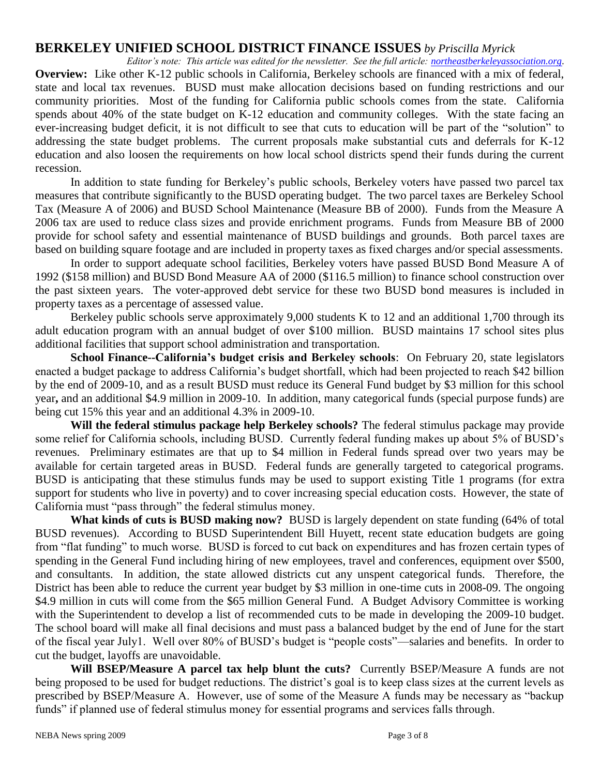#### **BERKELEY UNIFIED SCHOOL DISTRICT FINANCE ISSUES** *by Priscilla Myrick*

*Editor's note: This article was edited for the newsletter. See the full article: [northeastberkeleyassociation.org.](../../../AppData/Local/Microsoft/Windows/AppData/Local/Microsoft/Windows/AppData/Local/Microsoft/Windows/Temporary%20Internet%20Files/Content.Outlook/MB5D2GB8/northeastberkeleyassociation.org)* **Overview:** Like other K-12 public schools in California, Berkeley schools are financed with a mix of federal, state and local tax revenues. BUSD must make allocation decisions based on funding restrictions and our community priorities. Most of the funding for California public schools comes from the state. California spends about 40% of the state budget on K-12 education and community colleges. With the state facing an ever-increasing budget deficit, it is not difficult to see that cuts to education will be part of the "solution" to addressing the state budget problems. The current proposals make substantial cuts and deferrals for K-12 education and also loosen the requirements on how local school districts spend their funds during the current recession.

In addition to state funding for Berkeley's public schools, Berkeley voters have passed two parcel tax measures that contribute significantly to the BUSD operating budget. The two parcel taxes are Berkeley School Tax (Measure A of 2006) and BUSD School Maintenance (Measure BB of 2000). Funds from the Measure A 2006 tax are used to reduce class sizes and provide enrichment programs. Funds from Measure BB of 2000 provide for school safety and essential maintenance of BUSD buildings and grounds. Both parcel taxes are based on building square footage and are included in property taxes as fixed charges and/or special assessments.

In order to support adequate school facilities, Berkeley voters have passed BUSD Bond Measure A of 1992 (\$158 million) and BUSD Bond Measure AA of 2000 (\$116.5 million) to finance school construction over the past sixteen years. The voter-approved debt service for these two BUSD bond measures is included in property taxes as a percentage of assessed value.

Berkeley public schools serve approximately 9,000 students K to 12 and an additional 1,700 through its adult education program with an annual budget of over \$100 million. BUSD maintains 17 school sites plus additional facilities that support school administration and transportation.

**School Finance--California's budget crisis and Berkeley schools**: On February 20, state legislators enacted a budget package to address California's budget shortfall, which had been projected to reach \$42 billion by the end of 2009-10, and as a result BUSD must reduce its General Fund budget by \$3 million for this school year**,** and an additional \$4.9 million in 2009-10. In addition, many categorical funds (special purpose funds) are being cut 15% this year and an additional 4.3% in 2009-10.

**Will the federal stimulus package help Berkeley schools?** The federal stimulus package may provide some relief for California schools, including BUSD. Currently federal funding makes up about 5% of BUSD's revenues. Preliminary estimates are that up to \$4 million in Federal funds spread over two years may be available for certain targeted areas in BUSD. Federal funds are generally targeted to categorical programs. BUSD is anticipating that these stimulus funds may be used to support existing Title 1 programs (for extra support for students who live in poverty) and to cover increasing special education costs. However, the state of California must "pass through" the federal stimulus money.

**What kinds of cuts is BUSD making now?** BUSD is largely dependent on state funding (64% of total BUSD revenues). According to BUSD Superintendent Bill Huyett, recent state education budgets are going from "flat funding" to much worse. BUSD is forced to cut back on expenditures and has frozen certain types of spending in the General Fund including hiring of new employees, travel and conferences, equipment over \$500, and consultants. In addition, the state allowed districts cut any unspent categorical funds. Therefore, the District has been able to reduce the current year budget by \$3 million in one-time cuts in 2008-09. The ongoing \$4.9 million in cuts will come from the \$65 million General Fund. A Budget Advisory Committee is working with the Superintendent to develop a list of recommended cuts to be made in developing the 2009-10 budget. The school board will make all final decisions and must pass a balanced budget by the end of June for the start of the fiscal year July1. Well over 80% of BUSD's budget is "people costs"—salaries and benefits. In order to cut the budget, layoffs are unavoidable.

**Will BSEP/Measure A parcel tax help blunt the cuts?** Currently BSEP/Measure A funds are not being proposed to be used for budget reductions. The district's goal is to keep class sizes at the current levels as prescribed by BSEP/Measure A. However, use of some of the Measure A funds may be necessary as "backup" funds" if planned use of federal stimulus money for essential programs and services falls through.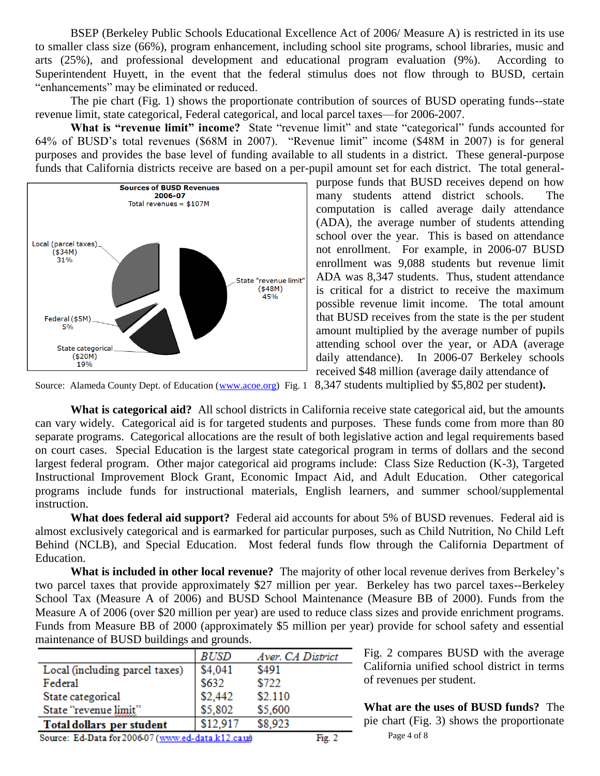BSEP (Berkeley Public Schools Educational Excellence Act of 2006/ Measure A) is restricted in its use to smaller class size (66%), program enhancement, including school site programs, school libraries, music and arts (25%), and professional development and educational program evaluation (9%). According to Superintendent Huyett, in the event that the federal stimulus does not flow through to BUSD, certain "enhancements" may be eliminated or reduced.

 The pie chart (Fig. 1) shows the proportionate contribution of sources of BUSD operating funds--state revenue limit, state categorical, Federal categorical, and local parcel taxes—for 2006-2007.

**What is "revenue limit" income?** State "revenue limit" and state "categorical" funds accounted for 64% of BUSD's total revenues (\$68M in 2007). "Revenue limit" income (\$48M in 2007) is for general purposes and provides the base level of funding available to all students in a district. These general-purpose funds that California districts receive are based on a per-pupil amount set for each district. The total general-



purpose funds that BUSD receives depend on how many students attend district schools. The computation is called average daily attendance (ADA), the average number of students attending school over the year. This is based on attendance not enrollment. For example, in 2006-07 BUSD enrollment was 9,088 students but revenue limit ADA was 8,347 students. Thus, student attendance is critical for a district to receive the maximum possible revenue limit income. The total amount that BUSD receives from the state is the per student amount multiplied by the average number of pupils attending school over the year, or ADA (average daily attendance). In 2006-07 Berkeley schools received \$48 million (average daily attendance of

Source: Alameda County Dept. of Education [\(www.acoe.org\)](http://www.acoe.org/) Fig. 1 8,347 students multiplied by \$5,802 per student**).**

**What is categorical aid?** All school districts in California receive state categorical aid, but the amounts can vary widely. Categorical aid is for targeted students and purposes. These funds come from more than 80 separate programs. Categorical allocations are the result of both legislative action and legal requirements based on court cases. Special Education is the largest state categorical program in terms of dollars and the second largest federal program. Other major categorical aid programs include: Class Size Reduction (K-3), Targeted Instructional Improvement Block Grant, Economic Impact Aid, and Adult Education. Other categorical programs include funds for instructional materials, English learners, and summer school/supplemental instruction.

**What does federal aid support?** Federal aid accounts for about 5% of BUSD revenues. Federal aid is almost exclusively categorical and is earmarked for particular purposes, such as Child Nutrition, No Child Left Behind (NCLB), and Special Education. Most federal funds flow through the California Department of Education.

**What is included in other local revenue?** The majority of other local revenue derives from Berkeley's two parcel taxes that provide approximately \$27 million per year. Berkeley has two parcel taxes--Berkeley School Tax (Measure A of 2006) and BUSD School Maintenance (Measure BB of 2000). Funds from the Measure A of 2006 (over \$20 million per year) are used to reduce class sizes and provide enrichment programs. Funds from Measure BB of 2000 (approximately \$5 million per year) provide for school safety and essential maintenance of BUSD buildings and grounds.

|                                                    | <i>BUSD</i> | Aver. CA District |        |
|----------------------------------------------------|-------------|-------------------|--------|
| Local (including parcel taxes)                     | \$4,041     | \$491             |        |
| Federal                                            | \$632       | \$722             |        |
| State categorical                                  | \$2,442     | \$2.110           |        |
| State "revenue limit"                              | \$5,802     | \$5,600           |        |
| Total dollars per student                          | \$12.917    | \$8,923           |        |
| Source: Ed-Data for 2006-07 (www.ed-data.k12.caus) |             |                   | Fig. 2 |

Fig. 2 compares BUSD with the average California unified school district in terms of revenues per student.

 $\overline{g(2)}$  Page 4 of 8 **What are the uses of BUSD funds?** The pie chart (Fig. 3) shows the proportionate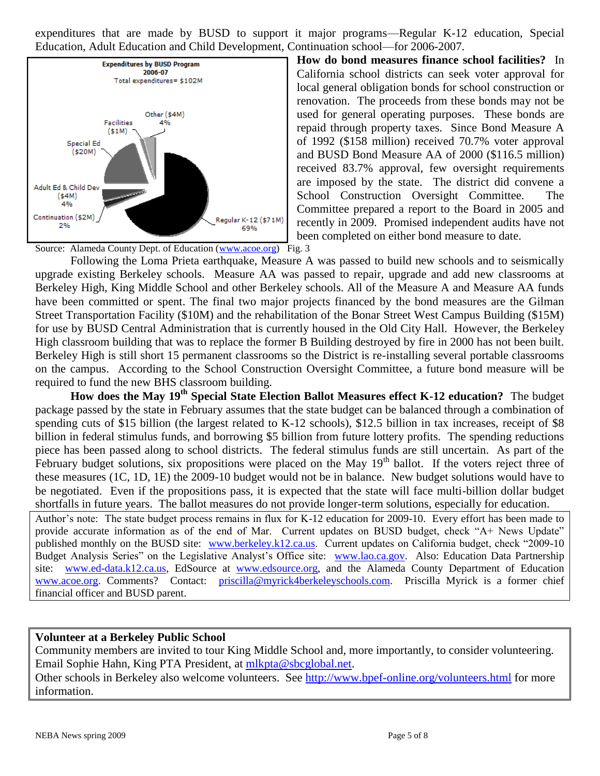expenditures that are made by BUSD to support it major programs—Regular K-12 education, Special Education, Adult Education and Child Development, Continuation school—for 2006-2007.



**How do bond measures finance school facilities?** In California school districts can seek voter approval for local general obligation bonds for school construction or renovation. The proceeds from these bonds may not be used for general operating purposes. These bonds are repaid through property taxes. Since Bond Measure A of 1992 (\$158 million) received 70.7% voter approval and BUSD Bond Measure AA of 2000 (\$116.5 million) received 83.7% approval, few oversight requirements are imposed by the state. The district did convene a School Construction Oversight Committee. The Committee prepared a report to the Board in 2005 and recently in 2009. Promised independent audits have not been completed on either bond measure to date.

Source: Alameda County Dept. of Education [\(www.acoe.org\)](http://www.acoe.org/) Fig. 3

Following the Loma Prieta earthquake, Measure A was passed to build new schools and to seismically upgrade existing Berkeley schools. Measure AA was passed to repair, upgrade and add new classrooms at Berkeley High, King Middle School and other Berkeley schools. All of the Measure A and Measure AA funds have been committed or spent. The final two major projects financed by the bond measures are the Gilman Street Transportation Facility (\$10M) and the rehabilitation of the Bonar Street West Campus Building (\$15M) for use by BUSD Central Administration that is currently housed in the Old City Hall. However, the Berkeley High classroom building that was to replace the former B Building destroyed by fire in 2000 has not been built. Berkeley High is still short 15 permanent classrooms so the District is re-installing several portable classrooms on the campus. According to the School Construction Oversight Committee, a future bond measure will be required to fund the new BHS classroom building.

**How does the May 19th Special State Election Ballot Measures effect K-12 education?** The budget package passed by the state in February assumes that the state budget can be balanced through a combination of spending cuts of \$15 billion (the largest related to K-12 schools), \$12.5 billion in tax increases, receipt of \$8 billion in federal stimulus funds, and borrowing \$5 billion from future lottery profits. The spending reductions piece has been passed along to school districts. The federal stimulus funds are still uncertain. As part of the February budget solutions, six propositions were placed on the May 19<sup>th</sup> ballot. If the voters reject three of these measures (1C, 1D, 1E) the 2009-10 budget would not be in balance. New budget solutions would have to be negotiated. Even if the propositions pass, it is expected that the state will face multi-billion dollar budget shortfalls in future years. The ballot measures do not provide longer-term solutions, especially for education.

Author's note: The state budget process remains in flux for K-12 education for 2009-10. Every effort has been made to provide accurate information as of the end of Mar. Current updates on BUSD budget, check "A+ News Update" published monthly on the BUSD site: [www.berkeley.k12.ca.us.](http://www.berkeley.k12.ca.us/) Current updates on California budget, check "2009-10 Budget Analysis Series" on the Legislative Analyst's Office site: [www.lao.ca.gov.](http://www.lao.ca.gov/) Also: Education Data Partnership site: [www.ed-data.k12.ca.us,](http://www.ed-data.k12.ca.us/) EdSource at [www.edsource.org,](http://www.edsource.org/) and the Alameda County Department of Education [www.acoe.org.](http://www.acoe.org/) Comments? Contact: [priscilla@myrick4berkeleyschools.com.](mailto:priscilla@myrick4berkeleyschools.com) Priscilla Myrick is a former chief financial officer and BUSD parent.

#### **Volunteer at a Berkeley Public School**

Community members are invited to tour King Middle School and, more importantly, to consider volunteering. Email Sophie Hahn, King PTA President, at [mlkpta@sbcglobal.net.](mailto:mlkpta@sbcglobal.net) Other schools in Berkeley also welcome volunteers. See<http://www.bpef-online.org/volunteers.html> for more information.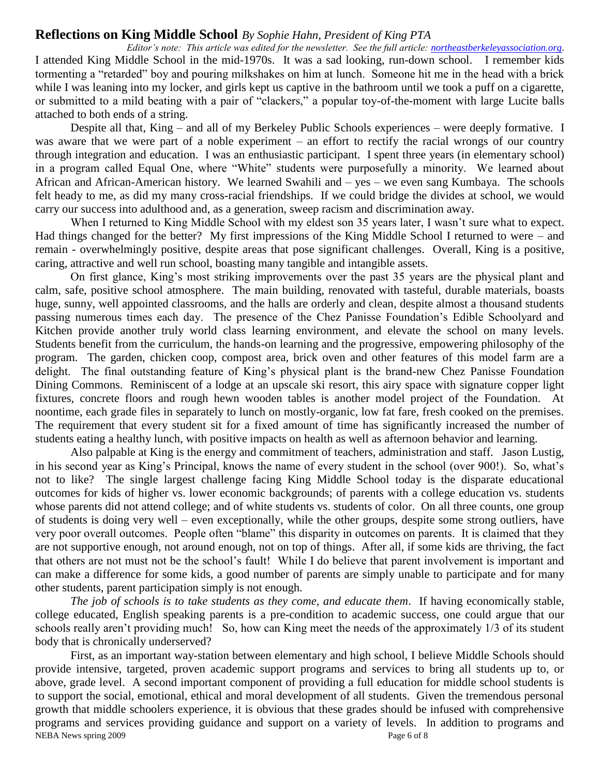#### **Reflections on King Middle School** *By Sophie Hahn, President of King PTA*

*Editor's note: This article was edited for the newsletter. See the full article: [northeastberkeleyassociation.org.](../../../AppData/Local/Microsoft/Windows/AppData/Local/Microsoft/Windows/AppData/Local/Microsoft/Windows/Temporary%20Internet%20Files/Content.Outlook/MB5D2GB8/northeastberkeleyassociation.org)* I attended King Middle School in the mid-1970s. It was a sad looking, run-down school. I remember kids tormenting a "retarded" boy and pouring milkshakes on him at lunch. Someone hit me in the head with a brick while I was leaning into my locker, and girls kept us captive in the bathroom until we took a puff on a cigarette, or submitted to a mild beating with a pair of "clackers," a popular toy-of-the-moment with large Lucite balls attached to both ends of a string.

Despite all that, King – and all of my Berkeley Public Schools experiences – were deeply formative. I was aware that we were part of a noble experiment – an effort to rectify the racial wrongs of our country through integration and education. I was an enthusiastic participant. I spent three years (in elementary school) in a program called Equal One, where "White" students were purposefully a minority. We learned about African and African-American history. We learned Swahili and – yes – we even sang Kumbaya. The schools felt heady to me, as did my many cross-racial friendships. If we could bridge the divides at school, we would carry our success into adulthood and, as a generation, sweep racism and discrimination away.

When I returned to King Middle School with my eldest son 35 years later, I wasn't sure what to expect. Had things changed for the better? My first impressions of the King Middle School I returned to were – and remain - overwhelmingly positive, despite areas that pose significant challenges. Overall, King is a positive, caring, attractive and well run school, boasting many tangible and intangible assets.

On first glance, King's most striking improvements over the past 35 years are the physical plant and calm, safe, positive school atmosphere. The main building, renovated with tasteful, durable materials, boasts huge, sunny, well appointed classrooms, and the halls are orderly and clean, despite almost a thousand students passing numerous times each day. The presence of the Chez Panisse Foundation's Edible Schoolyard and Kitchen provide another truly world class learning environment, and elevate the school on many levels. Students benefit from the curriculum, the hands-on learning and the progressive, empowering philosophy of the program. The garden, chicken coop, compost area, brick oven and other features of this model farm are a delight. The final outstanding feature of King's physical plant is the brand-new Chez Panisse Foundation Dining Commons. Reminiscent of a lodge at an upscale ski resort, this airy space with signature copper light fixtures, concrete floors and rough hewn wooden tables is another model project of the Foundation. At noontime, each grade files in separately to lunch on mostly-organic, low fat fare, fresh cooked on the premises. The requirement that every student sit for a fixed amount of time has significantly increased the number of students eating a healthy lunch, with positive impacts on health as well as afternoon behavior and learning.

Also palpable at King is the energy and commitment of teachers, administration and staff. Jason Lustig, in his second year as King's Principal, knows the name of every student in the school (over 900!). So, what's not to like? The single largest challenge facing King Middle School today is the disparate educational outcomes for kids of higher vs. lower economic backgrounds; of parents with a college education vs. students whose parents did not attend college; and of white students vs. students of color. On all three counts, one group of students is doing very well – even exceptionally, while the other groups, despite some strong outliers, have very poor overall outcomes. People often "blame" this disparity in outcomes on parents. It is claimed that they are not supportive enough, not around enough, not on top of things. After all, if some kids are thriving, the fact that others are not must not be the school's fault! While I do believe that parent involvement is important and can make a difference for some kids, a good number of parents are simply unable to participate and for many other students, parent participation simply is not enough.

 *The job of schools is to take students as they come, and educate them*. If having economically stable, college educated, English speaking parents is a pre-condition to academic success, one could argue that our schools really aren't providing much! So, how can King meet the needs of the approximately 1/3 of its student body that is chronically underserved?

NEBA News spring 2009 Page 6 of 8 First, as an important way-station between elementary and high school, I believe Middle Schools should provide intensive, targeted, proven academic support programs and services to bring all students up to, or above, grade level. A second important component of providing a full education for middle school students is to support the social, emotional, ethical and moral development of all students. Given the tremendous personal growth that middle schoolers experience, it is obvious that these grades should be infused with comprehensive programs and services providing guidance and support on a variety of levels. In addition to programs and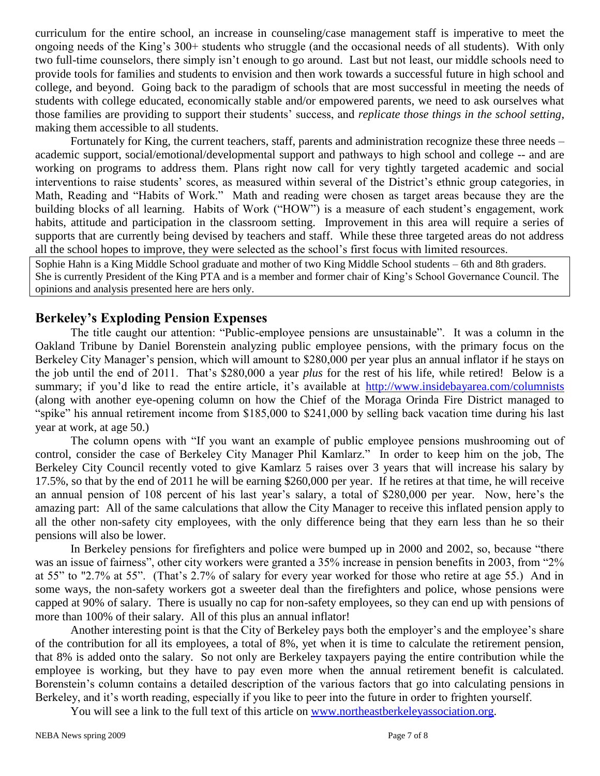curriculum for the entire school, an increase in counseling/case management staff is imperative to meet the ongoing needs of the King's 300+ students who struggle (and the occasional needs of all students). With only two full-time counselors, there simply isn't enough to go around. Last but not least, our middle schools need to provide tools for families and students to envision and then work towards a successful future in high school and college, and beyond. Going back to the paradigm of schools that are most successful in meeting the needs of students with college educated, economically stable and/or empowered parents, we need to ask ourselves what those families are providing to support their students' success, and *replicate those things in the school setting*, making them accessible to all students.

Fortunately for King, the current teachers, staff, parents and administration recognize these three needs – academic support, social/emotional/developmental support and pathways to high school and college -- and are working on programs to address them. Plans right now call for very tightly targeted academic and social interventions to raise students' scores, as measured within several of the District's ethnic group categories, in Math, Reading and "Habits of Work." Math and reading were chosen as target areas because they are the building blocks of all learning. Habits of Work ("HOW") is a measure of each student's engagement, work habits, attitude and participation in the classroom setting. Improvement in this area will require a series of supports that are currently being devised by teachers and staff. While these three targeted areas do not address all the school hopes to improve, they were selected as the school's first focus with limited resources.

Sophie Hahn is a King Middle School graduate and mother of two King Middle School students – 6th and 8th graders. She is currently President of the King PTA and is a member and former chair of King's School Governance Council. The opinions and analysis presented here are hers only.

#### **Berkeley's Exploding Pension Expenses**

The title caught our attention: "Public-employee pensions are unsustainable". It was a column in the Oakland Tribune by Daniel Borenstein analyzing public employee pensions, with the primary focus on the Berkeley City Manager's pension, which will amount to \$280,000 per year plus an annual inflator if he stays on the job until the end of 2011. That's \$280,000 a year *plus* for the rest of his life, while retired! Below is a summary; if you'd like to read the entire article, it's available at <http://www.insidebayarea.com/columnists> (along with another eye-opening column on how the Chief of the Moraga Orinda Fire District managed to ―spike‖ his annual retirement income from \$185,000 to \$241,000 by selling back vacation time during his last year at work, at age 50.)

The column opens with "If you want an example of public employee pensions mushrooming out of control, consider the case of Berkeley City Manager Phil Kamlarz." In order to keep him on the job, The Berkeley City Council recently voted to give Kamlarz 5 raises over 3 years that will increase his salary by 17.5%, so that by the end of 2011 he will be earning \$260,000 per year. If he retires at that time, he will receive an annual pension of 108 percent of his last year's salary, a total of \$280,000 per year. Now, here's the amazing part: All of the same calculations that allow the City Manager to receive this inflated pension apply to all the other non-safety city employees, with the only difference being that they earn less than he so their pensions will also be lower.

In Berkeley pensions for firefighters and police were bumped up in 2000 and 2002, so, because "there was an issue of fairness", other city workers were granted a  $35%$  increase in pension benefits in 2003, from "2% at 55" to "2.7% at 55". (That's 2.7% of salary for every year worked for those who retire at age 55.) And in some ways, the non-safety workers got a sweeter deal than the firefighters and police, whose pensions were capped at 90% of salary. There is usually no cap for non-safety employees, so they can end up with pensions of more than 100% of their salary. All of this plus an annual inflator!

Another interesting point is that the City of Berkeley pays both the employer's and the employee's share of the contribution for all its employees, a total of 8%, yet when it is time to calculate the retirement pension, that 8% is added onto the salary. So not only are Berkeley taxpayers paying the entire contribution while the employee is working, but they have to pay even more when the annual retirement benefit is calculated. Borenstein's column contains a detailed description of the various factors that go into calculating pensions in Berkeley, and it's worth reading, especially if you like to peer into the future in order to frighten yourself.

You will see a link to the full text of this article on [www.northeastberkeleyassociation.org.](../../../AppData/Local/Microsoft/Windows/Temporary%20Internet%20Files/Content.Outlook/MB5D2GB8/www.northeastberkeleyassociation.org)